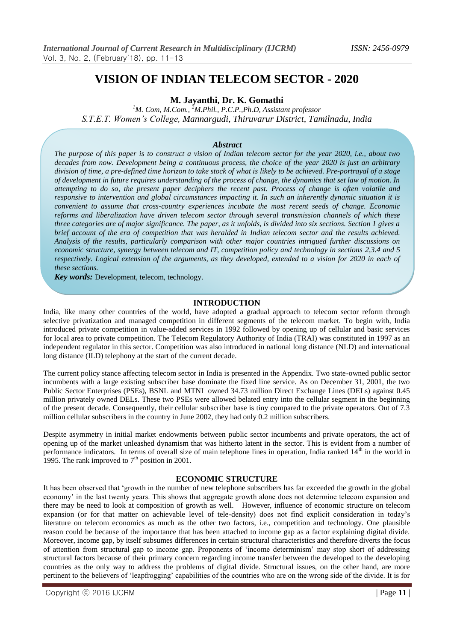# **VISION OF INDIAN TELECOM SECTOR - 2020**

**M. Jayanthi, Dr. K. Gomathi**

*<sup>1</sup>M. Com, M.Com., <sup>2</sup>M.Phil., P.C.P.,Ph.D, Assistant professor S.T.E.T. Women's College, Mannargudi, Thiruvarur District, Tamilnadu, India*

#### *Abstract*

*The purpose of this paper is to construct a vision of Indian telecom sector for the year 2020, i.e., about two decades from now. Development being a continuous process, the choice of the year 2020 is just an arbitrary division of time, a pre-defined time horizon to take stock of what is likely to be achieved. Pre-portrayal of a stage of development in future requires understanding of the process of change, the dynamics that set law of motion. In attempting to do so, the present paper deciphers the recent past. Process of change is often volatile and responsive to intervention and global circumstances impacting it. In such an inherently dynamic situation it is convenient to assume that cross-country experiences incubate the most recent seeds of change. Economic reforms and liberalization have driven telecom sector through several transmission channels of which these three categories are of major significance. The paper, as it unfolds, is divided into six sections. Section 1 gives a brief account of the era of competition that was heralded in Indian telecom sector and the results achieved. Analysis of the results, particularly comparison with other major countries intrigued further discussions on economic structure, synergy between telecom and IT, competition policy and technology in sections 2,3.4 and 5 respectively. Logical extension of the arguments, as they developed, extended to a vision for 2020 in each of these sections.*

*Key words:* Development, telecom, technology.

#### **INTRODUCTION**

India, like many other countries of the world, have adopted a gradual approach to telecom sector reform through selective privatization and managed competition in different segments of the telecom market. To begin with, India introduced private competition in value-added services in 1992 followed by opening up of cellular and basic services for local area to private competition. The Telecom Regulatory Authority of India (TRAI) was constituted in 1997 as an independent regulator in this sector. Competition was also introduced in national long distance (NLD) and international long distance (ILD) telephony at the start of the current decade.

The current policy stance affecting telecom sector in India is presented in the Appendix. Two state-owned public sector incumbents with a large existing subscriber base dominate the fixed line service. As on December 31, 2001, the two Public Sector Enterprises (PSEs), BSNL and MTNL owned 34.73 million Direct Exchange Lines (DELs) against 0.45 million privately owned DELs. These two PSEs were allowed belated entry into the cellular segment in the beginning of the present decade. Consequently, their cellular subscriber base is tiny compared to the private operators. Out of 7.3 million cellular subscribers in the country in June 2002, they had only 0.2 million subscribers.

Despite asymmetry in initial market endowments between public sector incumbents and private operators, the act of opening up of the market unleashed dynamism that was hitherto latent in the sector. This is evident from a number of performance indicators. In terms of overall size of main telephone lines in operation, India ranked 14<sup>th</sup> in the world in 1995. The rank improved to  $7<sup>th</sup>$  position in 2001.

#### **ECONOMIC STRUCTURE**

It has been observed that 'growth in the number of new telephone subscribers has far exceeded the growth in the global economy' in the last twenty years. This shows that aggregate growth alone does not determine telecom expansion and there may be need to look at composition of growth as well. However, influence of economic structure on telecom expansion (or for that matter on achievable level of tele-density) does not find explicit consideration in today's literature on telecom economics as much as the other two factors, i.e., competition and technology. One plausible reason could be because of the importance that has been attached to income gap as a factor explaining digital divide. Moreover, income gap, by itself subsumes differences in certain structural characteristics and therefore diverts the focus of attention from structural gap to income gap. Proponents of 'income determinism' may stop short of addressing structural factors because of their primary concern regarding income transfer between the developed to the developing countries as the only way to address the problems of digital divide. Structural issues, on the other hand, are more pertinent to the believers of 'leapfrogging' capabilities of the countries who are on the wrong side of the divide. It is for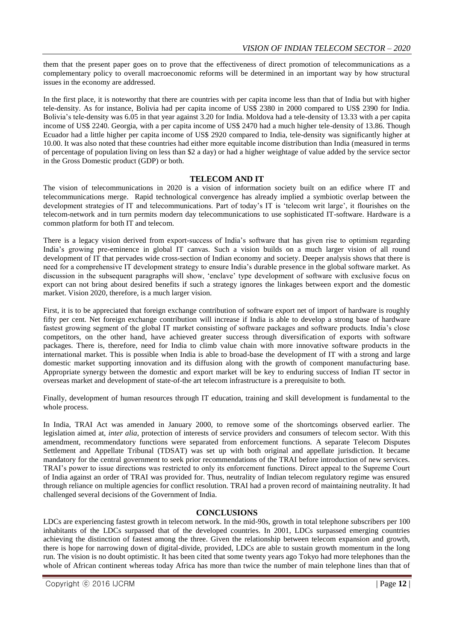them that the present paper goes on to prove that the effectiveness of direct promotion of telecommunications as a complementary policy to overall macroeconomic reforms will be determined in an important way by how structural issues in the economy are addressed.

In the first place, it is noteworthy that there are countries with per capita income less than that of India but with higher tele-density. As for instance, Bolivia had per capita income of US\$ 2380 in 2000 compared to US\$ 2390 for India. Bolivia's tele-density was 6.05 in that year against 3.20 for India. Moldova had a tele-density of 13.33 with a per capita income of US\$ 2240. Georgia, with a per capita income of US\$ 2470 had a much higher tele-density of 13.86. Though Ecuador had a little higher per capita income of US\$ 2920 compared to India, tele-density was significantly higher at 10.00. It was also noted that these countries had either more equitable income distribution than India (measured in terms of percentage of population living on less than \$2 a day) or had a higher weightage of value added by the service sector in the Gross Domestic product (GDP) or both.

## **TELECOM AND IT**

The vision of telecommunications in 2020 is a vision of information society built on an edifice where IT and telecommunications merge. Rapid technological convergence has already implied a symbiotic overlap between the development strategies of IT and telecommunications. Part of today's IT is 'telecom writ large', it flourishes on the telecom-network and in turn permits modern day telecommunications to use sophisticated IT-software. Hardware is a common platform for both IT and telecom.

There is a legacy vision derived from export-success of India's software that has given rise to optimism regarding India's growing pre-eminence in global IT canvas. Such a vision builds on a much larger vision of all round development of IT that pervades wide cross-section of Indian economy and society. Deeper analysis shows that there is need for a comprehensive IT development strategy to ensure India's durable presence in the global software market. As discussion in the subsequent paragraphs will show, 'enclave' type development of software with exclusive focus on export can not bring about desired benefits if such a strategy ignores the linkages between export and the domestic market. Vision 2020, therefore, is a much larger vision.

First, it is to be appreciated that foreign exchange contribution of software export net of import of hardware is roughly fifty per cent. Net foreign exchange contribution will increase if India is able to develop a strong base of hardware fastest growing segment of the global IT market consisting of software packages and software products. India's close competitors, on the other hand, have achieved greater success through diversification of exports with software packages. There is, therefore, need for India to climb value chain with more innovative software products in the international market. This is possible when India is able to broad-base the development of IT with a strong and large domestic market supporting innovation and its diffusion along with the growth of component manufacturing base. Appropriate synergy between the domestic and export market will be key to enduring success of Indian IT sector in overseas market and development of state-of-the art telecom infrastructure is a prerequisite to both.

Finally, development of human resources through IT education, training and skill development is fundamental to the whole process.

In India, TRAI Act was amended in January 2000, to remove some of the shortcomings observed earlier. The legislation aimed at, *inter alia*, protection of interests of service providers and consumers of telecom sector. With this amendment, recommendatory functions were separated from enforcement functions. A separate Telecom Disputes Settlement and Appellate Tribunal (TDSAT) was set up with both original and appellate jurisdiction. It became mandatory for the central government to seek prior recommendations of the TRAI before introduction of new services. TRAI's power to issue directions was restricted to only its enforcement functions. Direct appeal to the Supreme Court of India against an order of TRAI was provided for. Thus, neutrality of Indian telecom regulatory regime was ensured through reliance on multiple agencies for conflict resolution. TRAI had a proven record of maintaining neutrality. It had challenged several decisions of the Government of India.

## **CONCLUSIONS**

LDCs are experiencing fastest growth in telecom network. In the mid-90s, growth in total telephone subscribers per 100 inhabitants of the LDCs surpassed that of the developed countries. In 2001, LDCs surpassed emerging countries achieving the distinction of fastest among the three. Given the relationship between telecom expansion and growth, there is hope for narrowing down of digital-divide, provided, LDCs are able to sustain growth momentum in the long run. The vision is no doubt optimistic. It has been cited that some twenty years ago Tokyo had more telephones than the whole of African continent whereas today Africa has more than twice the number of main telephone lines than that of